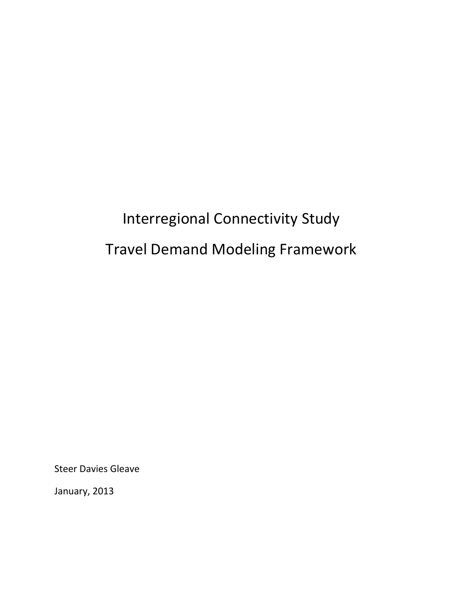# Interregional Connectivity Study Travel Demand Modeling Framework

Steer Davies Gleave

January, 2013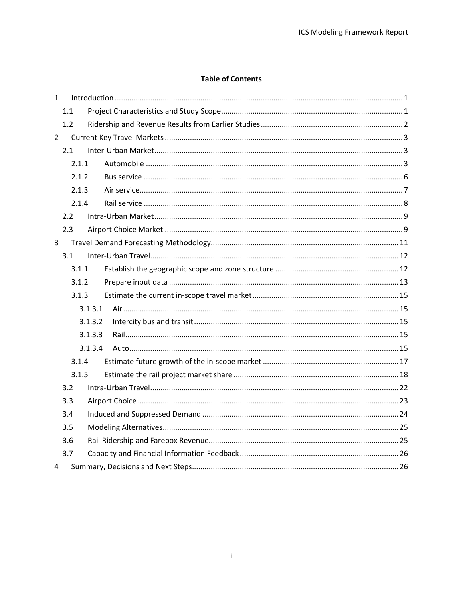## **Table of Contents**

| $\mathbf{1}$ |       |         |  |  |  |  |
|--------------|-------|---------|--|--|--|--|
|              | 1.1   |         |  |  |  |  |
|              | 1.2   |         |  |  |  |  |
| $2^{\circ}$  |       |         |  |  |  |  |
|              | 2.1   |         |  |  |  |  |
|              | 2.1.1 |         |  |  |  |  |
|              | 2.1.2 |         |  |  |  |  |
|              | 2.1.3 |         |  |  |  |  |
|              | 2.1.4 |         |  |  |  |  |
|              | 2.2   |         |  |  |  |  |
|              | 2.3   |         |  |  |  |  |
| 3            |       |         |  |  |  |  |
|              | 3.1   |         |  |  |  |  |
|              | 3.1.1 |         |  |  |  |  |
|              | 3.1.2 |         |  |  |  |  |
|              | 3.1.3 |         |  |  |  |  |
|              |       | 3.1.3.1 |  |  |  |  |
|              |       | 3.1.3.2 |  |  |  |  |
|              |       | 3.1.3.3 |  |  |  |  |
|              |       | 3.1.3.4 |  |  |  |  |
|              | 3.1.4 |         |  |  |  |  |
|              | 3.1.5 |         |  |  |  |  |
| 3.2          |       |         |  |  |  |  |
|              | 3.3   |         |  |  |  |  |
|              | 3.4   |         |  |  |  |  |
|              | 3.5   |         |  |  |  |  |
|              | 3.6   |         |  |  |  |  |
|              | 3.7   |         |  |  |  |  |
| 4            |       |         |  |  |  |  |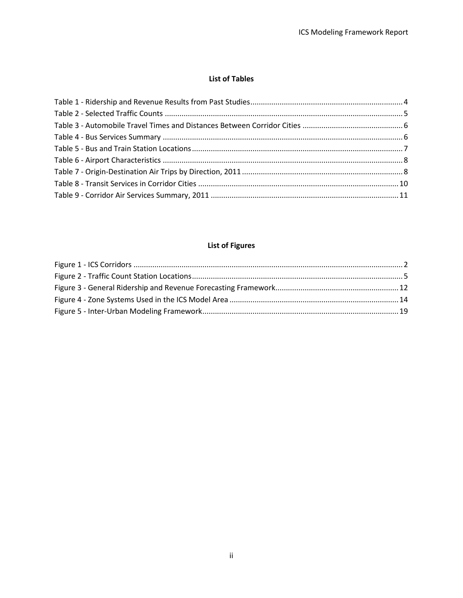#### **List of Tables**

# **List of Figures**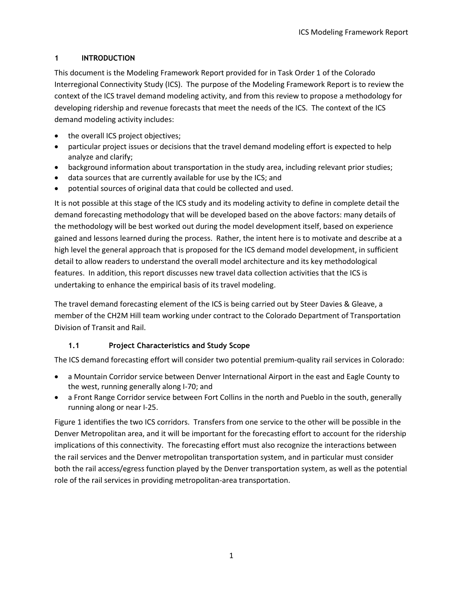## <span id="page-3-0"></span>**1 INTRODUCTION**

This document is the Modeling Framework Report provided for in Task Order 1 of the Colorado Interregional Connectivity Study (ICS). The purpose of the Modeling Framework Report is to review the context of the ICS travel demand modeling activity, and from this review to propose a methodology for developing ridership and revenue forecasts that meet the needs of the ICS. The context of the ICS demand modeling activity includes:

- the overall ICS project objectives;
- particular project issues or decisions that the travel demand modeling effort is expected to help analyze and clarify;
- background information about transportation in the study area, including relevant prior studies;
- data sources that are currently available for use by the ICS; and
- potential sources of original data that could be collected and used.

It is not possible at this stage of the ICS study and its modeling activity to define in complete detail the demand forecasting methodology that will be developed based on the above factors: many details of the methodology will be best worked out during the model development itself, based on experience gained and lessons learned during the process. Rather, the intent here is to motivate and describe at a high level the general approach that is proposed for the ICS demand model development, in sufficient detail to allow readers to understand the overall model architecture and its key methodological features. In addition, this report discusses new travel data collection activities that the ICS is undertaking to enhance the empirical basis of its travel modeling.

The travel demand forecasting element of the ICS is being carried out by Steer Davies & Gleave, a member of the CH2M Hill team working under contract to the Colorado Department of Transportation Division of Transit and Rail.

# **1.1 Project Characteristics and Study Scope**

<span id="page-3-1"></span>The ICS demand forecasting effort will consider two potential premium-quality rail services in Colorado:

- a Mountain Corridor service between Denver International Airport in the east and Eagle County to the west, running generally along I-70; and
- a Front Range Corridor service between Fort Collins in the north and Pueblo in the south, generally running along or near I-25.

[Figure 1](#page-4-1) identifies the two ICS corridors. Transfers from one service to the other will be possible in the Denver Metropolitan area, and it will be important for the forecasting effort to account for the ridership implications of this connectivity. The forecasting effort must also recognize the interactions between the rail services and the Denver metropolitan transportation system, and in particular must consider both the rail access/egress function played by the Denver transportation system, as well as the potential role of the rail services in providing metropolitan-area transportation.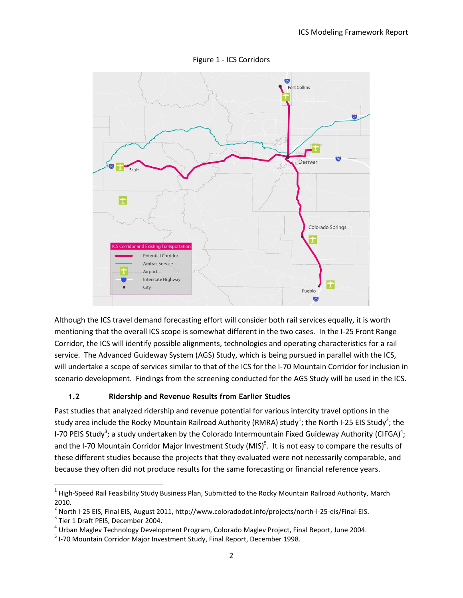<span id="page-4-1"></span>

Figure 1 - ICS Corridors

Although the ICS travel demand forecasting effort will consider both rail services equally, it is worth mentioning that the overall ICS scope is somewhat different in the two cases. In the I-25 Front Range Corridor, the ICS will identify possible alignments, technologies and operating characteristics for a rail service. The Advanced Guideway System (AGS) Study, which is being pursued in parallel with the ICS, will undertake a scope of services similar to that of the ICS for the I-70 Mountain Corridor for inclusion in scenario development. Findings from the screening conducted for the AGS Study will be used in the ICS.

## **1.2 Ridership and Revenue Results from Earlier Studies**

<span id="page-4-0"></span>Past studies that analyzed ridership and revenue potential for various intercity travel options in the study area include the Rocky Mountain Railroad Authority (RMRA) study<sup>1</sup>; the North I-25 EIS Study<sup>2</sup>; the I-70 PEIS Study<sup>3</sup>; a study undertaken by the Colorado Intermountain Fixed Guideway Authority (CIFGA)<sup>4</sup>; and the I-70 Mountain Corridor Major Investment Study (MIS)<sup>5</sup>. It is not easy to compare the results of these different studies because the projects that they evaluated were not necessarily comparable, and because they often did not produce results for the same forecasting or financial reference years.

 $\overline{a}$  $^1$  High-Speed Rail Feasibility Study Business Plan, Submitted to the Rocky Mountain Railroad Authority, March 2010.

<sup>&</sup>lt;sup>2</sup> North I-25 EIS, Final EIS, August 2011, http://www.coloradodot.info/projects/north-i-25-eis/Final-EIS.

<sup>&</sup>lt;sup>3</sup> Tier 1 Draft PEIS, December 2004.

<sup>&</sup>lt;sup>4</sup> Urban Maglev Technology Development Program, Colorado Maglev Project, Final Report, June 2004.

<sup>&</sup>lt;sup>5</sup> I-70 Mountain Corridor Major Investment Study, Final Report, December 1998.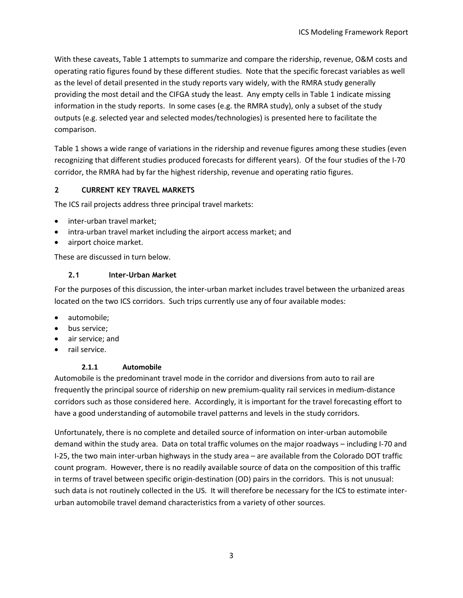With these caveats, [Table 1](#page-6-0) attempts to summarize and compare the ridership, revenue, O&M costs and operating ratio figures found by these different studies. Note that the specific forecast variables as well as the level of detail presented in the study reports vary widely, with the RMRA study generally providing the most detail and the CIFGA study the least. Any empty cells in [Table 1](#page-6-0) indicate missing information in the study reports. In some cases (e.g. the RMRA study), only a subset of the study outputs (e.g. selected year and selected modes/technologies) is presented here to facilitate the comparison.

[Table 1](#page-6-0) shows a wide range of variations in the ridership and revenue figures among these studies (even recognizing that different studies produced forecasts for different years). Of the four studies of the I-70 corridor, the RMRA had by far the highest ridership, revenue and operating ratio figures.

## <span id="page-5-0"></span>**2 CURRENT KEY TRAVEL MARKETS**

The ICS rail projects address three principal travel markets:

- inter-urban travel market;
- intra-urban travel market including the airport access market; and
- airport choice market.

These are discussed in turn below.

#### **2.1 Inter-Urban Market**

<span id="page-5-1"></span>For the purposes of this discussion, the inter-urban market includes travel between the urbanized areas located on the two ICS corridors. Such trips currently use any of four available modes:

- automobile;
- bus service;
- **air service**; and
- <span id="page-5-2"></span>rail service.

## **2.1.1 Automobile**

Automobile is the predominant travel mode in the corridor and diversions from auto to rail are frequently the principal source of ridership on new premium-quality rail services in medium-distance corridors such as those considered here. Accordingly, it is important for the travel forecasting effort to have a good understanding of automobile travel patterns and levels in the study corridors.

Unfortunately, there is no complete and detailed source of information on inter-urban automobile demand within the study area. Data on total traffic volumes on the major roadways – including I-70 and I-25, the two main inter-urban highways in the study area – are available from the Colorado DOT traffic count program. However, there is no readily available source of data on the composition of this traffic in terms of travel between specific origin-destination (OD) pairs in the corridors. This is not unusual: such data is not routinely collected in the US. It will therefore be necessary for the ICS to estimate interurban automobile travel demand characteristics from a variety of other sources.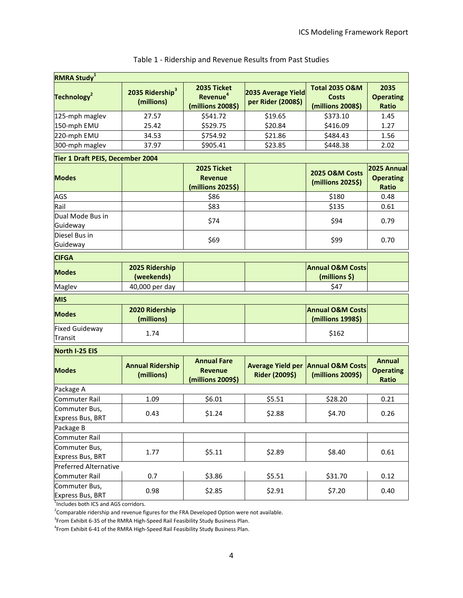<span id="page-6-0"></span>

| <b>RMRA Study</b> <sup>1</sup>          |                                           |                                                           |                                            |                                                                |                                                 |  |
|-----------------------------------------|-------------------------------------------|-----------------------------------------------------------|--------------------------------------------|----------------------------------------------------------------|-------------------------------------------------|--|
| Technology <sup>2</sup>                 | 2035 Ridership <sup>3</sup><br>(millions) | 2035 Ticket<br>Revenue <sup>4</sup><br>(millions 2008\$)  | 2035 Average Yield<br>per Rider (2008\$)   | <b>Total 2035 O&amp;M</b><br><b>Costs</b><br>(millions 2008\$) | 2035<br><b>Operating</b><br><b>Ratio</b>        |  |
| 125-mph maglev                          | 27.57                                     | \$541.72                                                  | \$19.65                                    | \$373.10                                                       | 1.45                                            |  |
| 150-mph EMU                             | 25.42                                     | \$529.75                                                  | \$20.84                                    | \$416.09                                                       | 1.27                                            |  |
| 220-mph EMU                             | 34.53                                     | \$754.92                                                  | \$21.86                                    | \$484.43                                                       | 1.56                                            |  |
| 300-mph maglev                          | 37.97                                     | \$905.41                                                  | \$23.85                                    | \$448.38                                                       | 2.02                                            |  |
| Tier 1 Draft PEIS, December 2004        |                                           |                                                           |                                            |                                                                |                                                 |  |
| <b>Modes</b>                            |                                           | 2025 Ticket<br><b>Revenue</b><br>(millions 2025\$)        |                                            | <b>2025 O&amp;M Costs</b><br>(millions 2025\$)                 | 2025 Annual<br><b>Operating</b><br><b>Ratio</b> |  |
| AGS                                     |                                           | \$86                                                      |                                            | \$180                                                          | 0.48                                            |  |
| Rail                                    |                                           | \$83                                                      |                                            | \$135                                                          | 0.61                                            |  |
| Dual Mode Bus in<br>Guideway            |                                           | \$74                                                      |                                            | \$94                                                           | 0.79                                            |  |
| Diesel Bus in<br>Guideway               |                                           | \$69                                                      |                                            | \$99                                                           | 0.70                                            |  |
| <b>CIFGA</b>                            |                                           |                                                           |                                            |                                                                |                                                 |  |
| <b>Modes</b>                            | 2025 Ridership<br>(weekends)              |                                                           |                                            | <b>Annual O&amp;M Costs</b><br>(millions \$)                   |                                                 |  |
| Maglev                                  | 40,000 per day                            |                                                           |                                            | \$47                                                           |                                                 |  |
| <b>MIS</b>                              |                                           |                                                           |                                            |                                                                |                                                 |  |
| <b>Modes</b>                            | 2020 Ridership<br>(millions)              |                                                           |                                            | <b>Annual O&amp;M Costs</b><br>(millions 1998\$)               |                                                 |  |
| <b>Fixed Guideway</b><br><b>Transit</b> | 1.74                                      |                                                           |                                            | \$162                                                          |                                                 |  |
| <b>North I-25 EIS</b>                   |                                           |                                                           |                                            |                                                                |                                                 |  |
| <b>Modes</b>                            | <b>Annual Ridership</b><br>(millions)     | <b>Annual Fare</b><br><b>Revenue</b><br>(millions 2009\$) | <b>Average Yield per</b><br>Rider (2009\$) | <b>Annual O&amp;M Costs</b><br>(millions 2009\$)               | Annual<br><b>Operating</b><br>Ratio             |  |
| Package A                               |                                           |                                                           |                                            |                                                                |                                                 |  |
| Commuter Rail                           | 1.09                                      | \$6.01                                                    | \$5.51                                     | \$28.20                                                        | 0.21                                            |  |
| Commuter Bus,<br>Express Bus, BRT       | 0.43                                      | \$1.24                                                    | \$2.88                                     | \$4.70                                                         | 0.26                                            |  |
| Package B                               |                                           |                                                           |                                            |                                                                |                                                 |  |
| Commuter Rail                           |                                           |                                                           |                                            |                                                                |                                                 |  |
| Commuter Bus,<br>Express Bus, BRT       | 1.77                                      | \$5.11                                                    | \$2.89                                     | \$8.40                                                         | 0.61                                            |  |
| <b>Preferred Alternative</b>            |                                           |                                                           |                                            |                                                                |                                                 |  |
| <b>Commuter Rail</b>                    | 0.7                                       | \$3.86                                                    | \$5.51                                     | \$31.70                                                        | 0.12                                            |  |
| Commuter Bus,<br>Express Bus, BRT       | 0.98                                      | \$2.85                                                    | \$2.91                                     | \$7.20                                                         | 0.40                                            |  |

## Table 1 - Ridership and Revenue Results from Past Studies

<sup>1</sup>Includes both ICS and AGS corridors.

 $2$ Comparable ridership and revenue figures for the FRA Developed Option were not available.

<sup>3</sup> From Exhibit 6-35 of the RMRA High-Speed Rail Feasibility Study Business Plan.

4 From Exhibit 6-41 of the RMRA High-Speed Rail Feasibility Study Business Plan.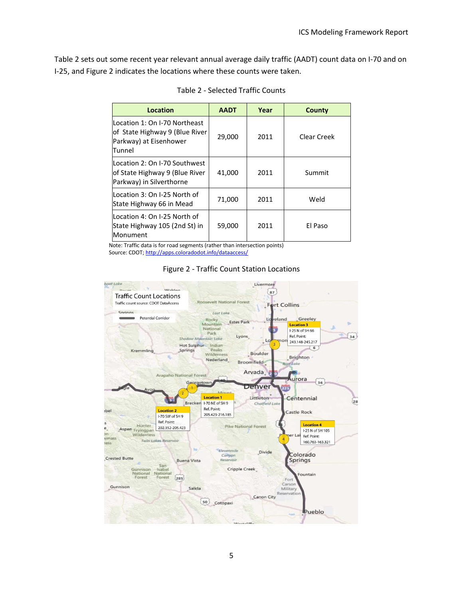<span id="page-7-0"></span>[Table 2](#page-7-0) sets out some recent year relevant annual average daily traffic (AADT) count data on I-70 and on I-25, and [Figure 2](#page-7-1) indicates the locations where these counts were taken.

| Location                                                                                            | <b>AADT</b> | Year | County      |
|-----------------------------------------------------------------------------------------------------|-------------|------|-------------|
| Location 1: On I-70 Northeast<br>of State Highway 9 (Blue River<br>Parkway) at Eisenhower<br>Tunnel | 29,000      | 2011 | Clear Creek |
| Location 2: On I-70 Southwest<br>of State Highway 9 (Blue River<br>Parkway) in Silverthorne         | 41,000      | 2011 | Summit      |
| Location 3: On I-25 North of<br>State Highway 66 in Mead                                            | 71,000      | 2011 | Weld        |
| lLocation 4: On I-25 North of<br>State Highway 105 (2nd St) in<br>Monument                          | 59,000      | 2011 | El Paso     |

Table 2 - Selected Traffic Counts

Note: Traffic data is for road segments (rather than intersection points) Source: CDOT[; http://apps.coloradodot.info/dataaccess/](http://apps.coloradodot.info/dataaccess/)



<span id="page-7-1"></span>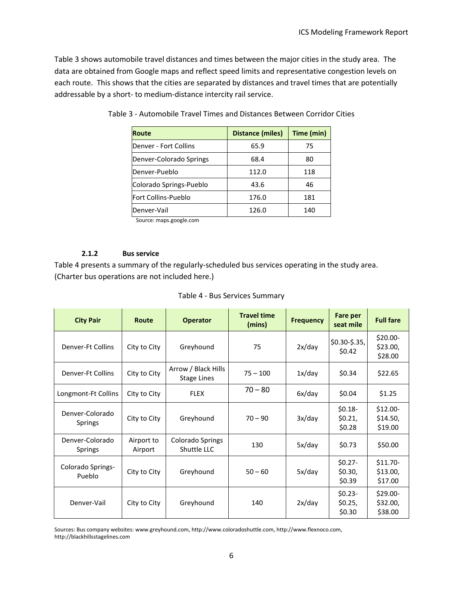<span id="page-8-1"></span>[Table 3](#page-8-1) shows automobile travel distances and times between the major cities in the study area. The data are obtained from Google maps and reflect speed limits and representative congestion levels on each route. This shows that the cities are separated by distances and travel times that are potentially addressable by a short- to medium-distance intercity rail service.

| <b>Route</b>            | <b>Distance (miles)</b> | Time (min) |
|-------------------------|-------------------------|------------|
| Denver - Fort Collins   | 65.9                    | 75         |
| Denver-Colorado Springs | 68.4                    | 80         |
| Denver-Pueblo           | 112.0                   | 118        |
| Colorado Springs-Pueblo | 43.6                    | 46         |
| Fort Collins-Pueblo     | 176.0                   | 181        |
| Denver-Vail             | 126.0                   | 140        |

Table 3 - Automobile Travel Times and Distances Between Corridor Cities

Source: maps.google.com

#### **2.1.2 Bus service**

<span id="page-8-0"></span>[Table 4](#page-8-2) presents a summary of the regularly-scheduled bus services operating in the study area. (Charter bus operations are not included here.)

| Table 4 - Bus Services Summary |  |
|--------------------------------|--|
|--------------------------------|--|

<span id="page-8-2"></span>

| <b>City Pair</b>                                           | <b>Route</b>                                              | <b>Operator</b>                 | <b>Travel time</b><br>(mins) | <b>Frequency</b>              | Fare per<br>seat mile           | <b>Full fare</b>                 |
|------------------------------------------------------------|-----------------------------------------------------------|---------------------------------|------------------------------|-------------------------------|---------------------------------|----------------------------------|
| Denver-Ft Collins                                          | City to City                                              | Greyhound                       | 75                           | 2x/day                        | $$0.30-$.35,$<br>\$0.42         | \$20.00-<br>\$23.00,<br>\$28.00  |
| <b>Denver-Ft Collins</b>                                   | Arrow / Black Hills<br>City to City<br><b>Stage Lines</b> |                                 | $75 - 100$                   | 1x/day                        | \$0.34                          | \$22.65                          |
| <b>FLEX</b><br>Longmont-Ft Collins<br>City to City         |                                                           | $70 - 80$                       | 6x/day                       | \$0.04                        | \$1.25                          |                                  |
| Denver-Colorado<br><b>Springs</b>                          | City to City                                              | Greyhound                       | $70 - 90$                    | 3x/day                        | $$0.18-$<br>\$0.21,<br>\$0.28   | $$12.00-$<br>\$14.50,<br>\$19.00 |
| Denver-Colorado<br>Airport to<br>Airport<br><b>Springs</b> |                                                           | Colorado Springs<br>Shuttle LLC | 130                          | 5x/day                        | \$0.73                          | \$50.00                          |
| Colorado Springs-<br>Pueblo                                | City to City                                              | Greyhound                       | $50 - 60$                    | 5x/day                        | $$0.27-$<br>\$0.30,<br>\$0.39   | $$11.70-$<br>\$13.00,<br>\$17.00 |
| Denver-Vail<br>Greyhound<br>City to City                   |                                                           | 140                             | 2x/day                       | $$0.23-$<br>\$0.25,<br>\$0.30 | \$29.00-<br>\$32.00,<br>\$38.00 |                                  |

Sources: Bus company websites: www.greyhound.com, http://www.coloradoshuttle.com, http://www.flexnoco.com, http://blackhillsstagelines.com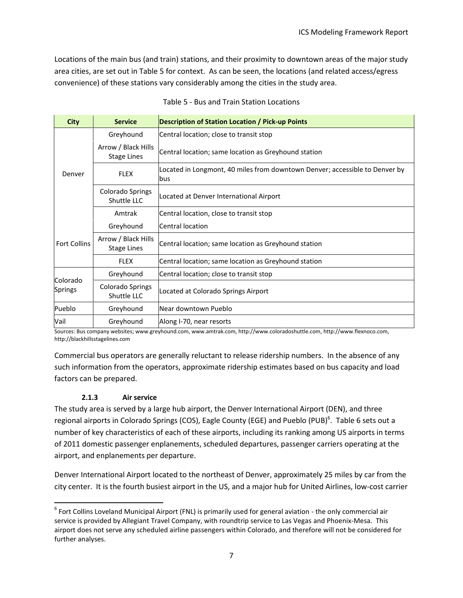Locations of the main bus (and train) stations, and their proximity to downtown areas of the major study area cities, are set out in [Table 5](#page-9-1) for context. As can be seen, the locations (and related access/egress convenience) of these stations vary considerably among the cities in the study area.

<span id="page-9-1"></span>

| <b>City</b>         | <b>Service</b>                            | <b>Description of Station Location / Pick-up Points</b>                            |  |
|---------------------|-------------------------------------------|------------------------------------------------------------------------------------|--|
|                     | Greyhound                                 | Central location; close to transit stop                                            |  |
|                     | Arrow / Black Hills<br><b>Stage Lines</b> | Central location; same location as Greyhound station                               |  |
| Denver              | <b>FLEX</b>                               | Located in Longmont, 40 miles from downtown Denver; accessible to Denver by<br>bus |  |
|                     | Colorado Springs<br>Shuttle LLC           | Located at Denver International Airport                                            |  |
|                     | Amtrak                                    | Central location, close to transit stop                                            |  |
|                     | Greyhound                                 | Central location                                                                   |  |
| <b>Fort Collins</b> | Arrow / Black Hills<br><b>Stage Lines</b> | Central location; same location as Greyhound station                               |  |
|                     | <b>FLEX</b>                               | Central location; same location as Greyhound station                               |  |
|                     | Greyhound                                 | Central location; close to transit stop                                            |  |
| Colorado<br>Springs | Colorado Springs<br>Shuttle LLC           | Located at Colorado Springs Airport                                                |  |
| Pueblo              | Greyhound                                 | Near downtown Pueblo                                                               |  |
| Vail                | Greyhound                                 | Along I-70, near resorts                                                           |  |

| Table 5 - Bus and Train Station Locations |  |  |
|-------------------------------------------|--|--|
|-------------------------------------------|--|--|

Sources: Bus company websites; www.greyhound.com, www.amtrak.com, http://www.coloradoshuttle.com, http://www.flexnoco.com, http://blackhillsstagelines.com

Commercial bus operators are generally reluctant to release ridership numbers. In the absence of any such information from the operators, approximate ridership estimates based on bus capacity and load factors can be prepared.

#### **2.1.3 Air service**

 $\overline{a}$ 

<span id="page-9-0"></span>The study area is served by a large hub airport, the Denver International Airport (DEN), and three regional airports in Colorado Springs (COS), Eagle County (EGE) and Pueblo (PUB)<sup>6</sup>. [Table 6](#page-10-1) sets out a number of key characteristics of each of these airports, including its ranking among US airports in terms of 2011 domestic passenger enplanements, scheduled departures, passenger carriers operating at the airport, and enplanements per departure.

Denver International Airport located to the northeast of Denver, approximately 25 miles by car from the city center. It is the fourth busiest airport in the US, and a major hub for United Airlines, low-cost carrier

 $^6$  Fort Collins Loveland Municipal Airport (FNL) is primarily used for general aviation - the only commercial air service is provided by Allegiant Travel Company, with roundtrip service to Las Vegas and Phoenix-Mesa. This airport does not serve any scheduled airline passengers within Colorado, and therefore will not be considered for further analyses.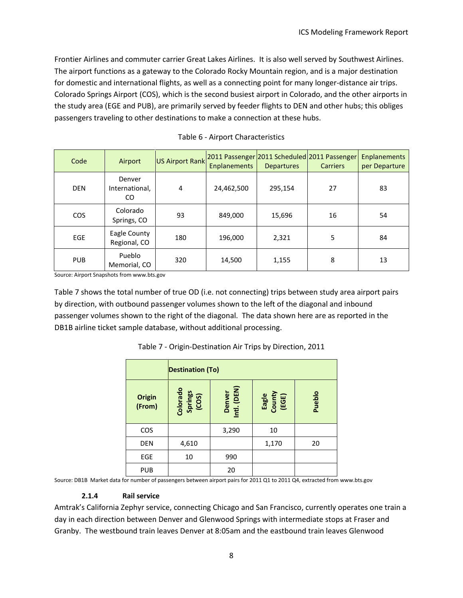Frontier Airlines and commuter carrier Great Lakes Airlines. It is also well served by Southwest Airlines. The airport functions as a gateway to the Colorado Rocky Mountain region, and is a major destination for domestic and international flights, as well as a connecting point for many longer-distance air trips. Colorado Springs Airport (COS), which is the second busiest airport in Colorado, and the other airports in the study area (EGE and PUB), are primarily served by feeder flights to DEN and other hubs; this obliges passengers traveling to other destinations to make a connection at these hubs.

<span id="page-10-1"></span>

| Code       | Airport                        | <b>US Airport Rank</b> | <b>Enplanements</b> | <b>Departures</b> | 2011 Passenger 2011 Scheduled 2011 Passenger<br><b>Carriers</b> | <b>Enplanements</b><br>per Departure |
|------------|--------------------------------|------------------------|---------------------|-------------------|-----------------------------------------------------------------|--------------------------------------|
| <b>DEN</b> | Denver<br>International,<br>CO | 4                      | 24,462,500          | 295,154           | 27                                                              | 83                                   |
| <b>COS</b> | Colorado<br>Springs, CO        | 93                     | 849,000             | 15,696            | 16                                                              | 54                                   |
| <b>EGE</b> | Eagle County<br>Regional, CO   | 180                    | 196,000             | 2,321             | 5                                                               | 84                                   |
| <b>PUB</b> | Pueblo<br>Memorial, CO         | 320                    | 14,500              | 1,155             | 8                                                               | 13                                   |

| Table 6 - Airport Characteristics |  |
|-----------------------------------|--|
|-----------------------------------|--|

Source: Airport Snapshots from www.bts.gov

<span id="page-10-2"></span>[Table 7](#page-10-2) shows the total number of true OD (i.e. not connecting) trips between study area airport pairs by direction, with outbound passenger volumes shown to the left of the diagonal and inbound passenger volumes shown to the right of the diagonal. The data shown here are as reported in the DB1B airline ticket sample database, without additional processing.

|                         | <b>Destination (To)</b>      |                       |                          |        |
|-------------------------|------------------------------|-----------------------|--------------------------|--------|
| <b>Origin</b><br>(From) | Colorado<br>Springs<br>(COS) | Denver<br>Intl. (DEN) | Eagle<br>County<br>(EGE) | Pueblo |
| <b>COS</b>              |                              | 3,290                 | 10                       |        |
| <b>DEN</b>              | 4,610                        |                       | 1,170                    | 20     |
| <b>EGE</b>              | 10                           | 990                   |                          |        |
| <b>PUB</b>              |                              | 20                    |                          |        |

Table 7 - Origin-Destination Air Trips by Direction, 2011

Source: DB1B Market data for number of passengers between airport pairs for 2011 Q1 to 2011 Q4, extracted from www.bts.gov

#### **2.1.4 Rail service**

<span id="page-10-0"></span>Amtrak's California Zephyr service, connecting Chicago and San Francisco, currently operates one train a day in each direction between Denver and Glenwood Springs with intermediate stops at Fraser and Granby. The westbound train leaves Denver at 8:05am and the eastbound train leaves Glenwood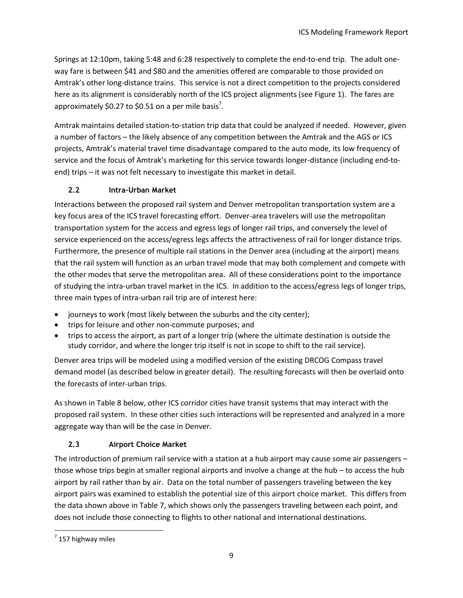Springs at 12:10pm, taking 5:48 and 6:28 respectively to complete the end-to-end trip. The adult oneway fare is between \$41 and \$80 and the amenities offered are comparable to those provided on Amtrak's other long-distance trains. This service is not a direct competition to the projects considered here as its alignment is considerably north of the ICS project alignments (see [Figure 1\)](#page-4-1). The fares are approximately \$0.27 to \$0.51 on a per mile basis<sup>7</sup>.

Amtrak maintains detailed station-to-station trip data that could be analyzed if needed. However, given a number of factors – the likely absence of any competition between the Amtrak and the AGS or ICS projects, Amtrak's material travel time disadvantage compared to the auto mode, its low frequency of service and the focus of Amtrak's marketing for this service towards longer-distance (including end-toend) trips – it was not felt necessary to investigate this market in detail.

## **2.2 Intra-Urban Market**

<span id="page-11-0"></span>Interactions between the proposed rail system and Denver metropolitan transportation system are a key focus area of the ICS travel forecasting effort. Denver-area travelers will use the metropolitan transportation system for the access and egress legs of longer rail trips, and conversely the level of service experienced on the access/egress legs affects the attractiveness of rail for longer distance trips. Furthermore, the presence of multiple rail stations in the Denver area (including at the airport) means that the rail system will function as an urban travel mode that may both complement and compete with the other modes that serve the metropolitan area. All of these considerations point to the importance of studying the intra-urban travel market in the ICS. In addition to the access/egress legs of longer trips, three main types of intra-urban rail trip are of interest here:

- journeys to work (most likely between the suburbs and the city center);
- trips for leisure and other non-commute purposes; and
- trips to access the airport, as part of a longer trip (where the ultimate destination is outside the study corridor, and where the longer trip itself is not in scope to shift to the rail service).

Denver area trips will be modeled using a modified version of the existing DRCOG Compass travel demand model (as described below in greater detail). The resulting forecasts will then be overlaid onto the forecasts of inter-urban trips.

As shown in [Table 8](#page-12-0) below, other ICS corridor cities have transit systems that may interact with the proposed rail system. In these other cities such interactions will be represented and analyzed in a more aggregate way than will be the case in Denver.

# **2.3 Airport Choice Market**

<span id="page-11-1"></span>The introduction of premium rail service with a station at a hub airport may cause some air passengers those whose trips begin at smaller regional airports and involve a change at the hub – to access the hub airport by rail rather than by air. Data on the total number of passengers traveling between the key airport pairs was examined to establish the potential size of this airport choice market. This differs from the data shown above i[n Table 7,](#page-10-2) which shows only the passengers traveling between each point, and does not include those connecting to flights to other national and international destinations.

 $\overline{\phantom{a}}$ 

 $<sup>7</sup>$  157 highway miles</sup>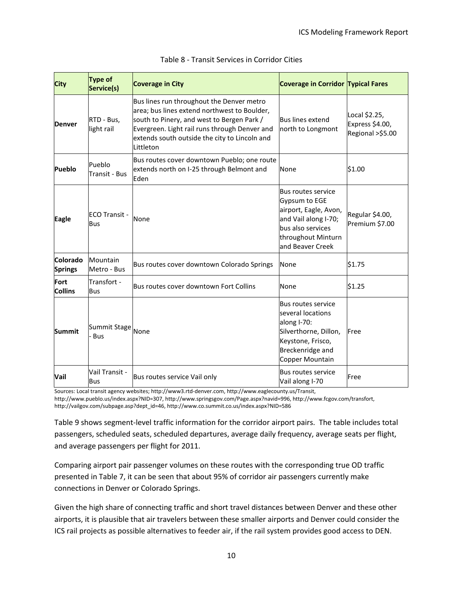<span id="page-12-0"></span>

| <b>City</b>                | Type of<br>Service(s)               | <b>Coverage in City</b>                                                                                                                                                                                                                                | <b>Coverage in Corridor Typical Fares</b>                                                                                                                  |                                                      |
|----------------------------|-------------------------------------|--------------------------------------------------------------------------------------------------------------------------------------------------------------------------------------------------------------------------------------------------------|------------------------------------------------------------------------------------------------------------------------------------------------------------|------------------------------------------------------|
| <b>Denver</b>              | RTD - Bus,<br>light rail            | Bus lines run throughout the Denver metro<br>area; bus lines extend northwest to Boulder,<br>south to Pinery, and west to Bergen Park /<br>Evergreen. Light rail runs through Denver and<br>extends south outside the city to Lincoln and<br>Littleton | <b>Bus lines extend</b><br>north to Longmont                                                                                                               | Local \$2.25,<br>Express \$4.00,<br>Regional >\$5.00 |
| Pueblo                     | Pueblo<br><b>Transit - Bus</b>      | Bus routes cover downtown Pueblo; one route<br>extends north on I-25 through Belmont and<br>None<br>Eden                                                                                                                                               |                                                                                                                                                            | \$1.00                                               |
| <b>Eagle</b>               | <b>IECO Transit -</b><br><b>Bus</b> | None                                                                                                                                                                                                                                                   | <b>Bus routes service</b><br>Gypsum to EGE<br>airport, Eagle, Avon,<br>and Vail along I-70;<br>bus also services<br>throughout Minturn<br>and Beaver Creek | Regular \$4.00,<br>Premium \$7.00                    |
| Colorado<br><b>Springs</b> | Mountain<br>Metro - Bus             | Bus routes cover downtown Colorado Springs                                                                                                                                                                                                             | None                                                                                                                                                       | \$1.75                                               |
| Fort<br><b>Collins</b>     | Transfort -<br><b>Bus</b>           | Bus routes cover downtown Fort Collins                                                                                                                                                                                                                 | None                                                                                                                                                       | \$1.25                                               |
| <b>Summit</b>              | Summit Stage None<br><b>Bus</b>     |                                                                                                                                                                                                                                                        | <b>Bus routes service</b><br>several locations<br>along I-70:<br>Silverthorne, Dillon,<br>Keystone, Frisco,<br>Breckenridge and<br>Copper Mountain         | Free                                                 |
| Vail                       | Vail Transit -<br><b>Bus</b>        | Bus routes service Vail only                                                                                                                                                                                                                           | <b>Bus routes service</b><br>Vail along I-70                                                                                                               | Free                                                 |

#### Table 8 - Transit Services in Corridor Cities

Sources: Local transit agency websites; http://www3.rtd-denver.com, http://www.eaglecounty.us/Transit, http://www.pueblo.us/index.aspx?NID=307, http://www.springsgov.com/Page.aspx?navid=996, http://www.fcgov.com/transfort, http://vailgov.com/subpage.asp?dept\_id=46, http://www.co.summit.co.us/index.aspx?NID=586

[Table 9](#page-13-1) shows segment-level traffic information for the corridor airport pairs. The table includes total passengers, scheduled seats, scheduled departures, average daily frequency, average seats per flight, and average passengers per flight for 2011.

Comparing airport pair passenger volumes on these routes with the corresponding true OD traffic presented in [Table 7,](#page-10-2) it can be seen that about 95% of corridor air passengers currently make connections in Denver or Colorado Springs.

Given the high share of connecting traffic and short travel distances between Denver and these other airports, it is plausible that air travelers between these smaller airports and Denver could consider the ICS rail projects as possible alternatives to feeder air, if the rail system provides good access to DEN.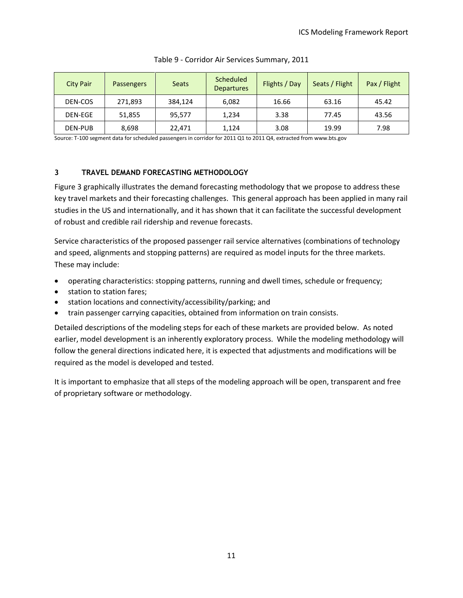<span id="page-13-1"></span>

| <b>City Pair</b> | Passengers | <b>Seats</b> | <b>Scheduled</b><br><b>Departures</b> | Flights / Day | Seats / Flight | Pax / Flight |
|------------------|------------|--------------|---------------------------------------|---------------|----------------|--------------|
| DEN-COS          | 271,893    | 384.124      | 6,082                                 | 16.66         | 63.16          | 45.42        |
| DEN-EGE          | 51,855     | 95,577       | 1.234                                 | 3.38          | 77.45          | 43.56        |
| DEN-PUB          | 8,698      | 22,471       | 1,124                                 | 3.08          | 19.99          | 7.98         |

#### Table 9 - Corridor Air Services Summary, 2011

Source: T-100 segment data for scheduled passengers in corridor for 2011 Q1 to 2011 Q4, extracted from www.bts.gov

#### <span id="page-13-0"></span>**3 TRAVEL DEMAND FORECASTING METHODOLOGY**

[Figure 3](#page-14-2) graphically illustrates the demand forecasting methodology that we propose to address these key travel markets and their forecasting challenges. This general approach has been applied in many rail studies in the US and internationally, and it has shown that it can facilitate the successful development of robust and credible rail ridership and revenue forecasts.

Service characteristics of the proposed passenger rail service alternatives (combinations of technology and speed, alignments and stopping patterns) are required as model inputs for the three markets. These may include:

- operating characteristics: stopping patterns, running and dwell times, schedule or frequency;
- station to station fares;
- station locations and connectivity/accessibility/parking; and
- train passenger carrying capacities, obtained from information on train consists.

Detailed descriptions of the modeling steps for each of these markets are provided below. As noted earlier, model development is an inherently exploratory process. While the modeling methodology will follow the general directions indicated here, it is expected that adjustments and modifications will be required as the model is developed and tested.

It is important to emphasize that all steps of the modeling approach will be open, transparent and free of proprietary software or methodology.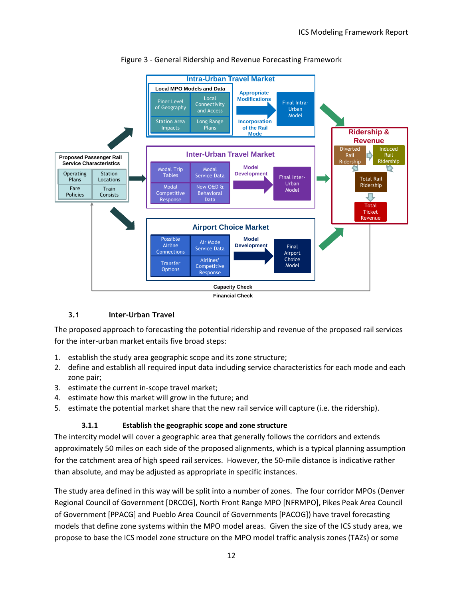<span id="page-14-2"></span>

## Figure 3 - General Ridership and Revenue Forecasting Framework

## **3.1 Inter-Urban Travel**

<span id="page-14-0"></span>The proposed approach to forecasting the potential ridership and revenue of the proposed rail services for the inter-urban market entails five broad steps:

- 1. establish the study area geographic scope and its zone structure;
- 2. define and establish all required input data including service characteristics for each mode and each zone pair;
- 3. estimate the current in-scope travel market;
- 4. estimate how this market will grow in the future; and
- <span id="page-14-1"></span>5. estimate the potential market share that the new rail service will capture (i.e. the ridership).

## **3.1.1 Establish the geographic scope and zone structure**

The intercity model will cover a geographic area that generally follows the corridors and extends approximately 50 miles on each side of the proposed alignments, which is a typical planning assumption for the catchment area of high speed rail services. However, the 50-mile distance is indicative rather than absolute, and may be adjusted as appropriate in specific instances.

The study area defined in this way will be split into a number of zones. The four corridor MPOs (Denver Regional Council of Government [DRCOG], North Front Range MPO [NFRMPO], Pikes Peak Area Council of Government [PPACG] and Pueblo Area Council of Governments [PACOG]) have travel forecasting models that define zone systems within the MPO model areas. Given the size of the ICS study area, we propose to base the ICS model zone structure on the MPO model traffic analysis zones (TAZs) or some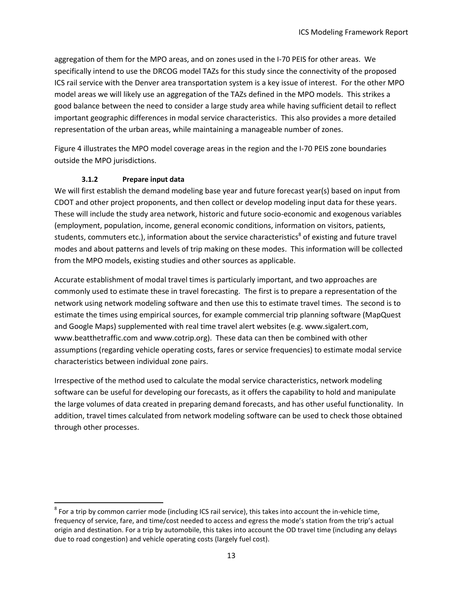aggregation of them for the MPO areas, and on zones used in the I-70 PEIS for other areas. We specifically intend to use the DRCOG model TAZs for this study since the connectivity of the proposed ICS rail service with the Denver area transportation system is a key issue of interest. For the other MPO model areas we will likely use an aggregation of the TAZs defined in the MPO models. This strikes a good balance between the need to consider a large study area while having sufficient detail to reflect important geographic differences in modal service characteristics. This also provides a more detailed representation of the urban areas, while maintaining a manageable number of zones.

[Figure 4](#page-16-0) illustrates the MPO model coverage areas in the region and the I-70 PEIS zone boundaries outside the MPO jurisdictions.

## **3.1.2 Prepare input data**

 $\overline{a}$ 

<span id="page-15-0"></span>We will first establish the demand modeling base year and future forecast year(s) based on input from CDOT and other project proponents, and then collect or develop modeling input data for these years. These will include the study area network, historic and future socio-economic and exogenous variables (employment, population, income, general economic conditions, information on visitors, patients, students, commuters etc.), information about the service characteristics<sup>8</sup> of existing and future travel modes and about patterns and levels of trip making on these modes. This information will be collected from the MPO models, existing studies and other sources as applicable.

Accurate establishment of modal travel times is particularly important, and two approaches are commonly used to estimate these in travel forecasting. The first is to prepare a representation of the network using network modeling software and then use this to estimate travel times. The second is to estimate the times using empirical sources, for example commercial trip planning software (MapQuest and Google Maps) supplemented with real time travel alert websites (e.g. www.sigalert.com, [www.beatthetraffic.com](http://www.beatthetraffic.com/) and www.cotrip.org). These data can then be combined with other assumptions (regarding vehicle operating costs, fares or service frequencies) to estimate modal service characteristics between individual zone pairs.

Irrespective of the method used to calculate the modal service characteristics, network modeling software can be useful for developing our forecasts, as it offers the capability to hold and manipulate the large volumes of data created in preparing demand forecasts, and has other useful functionality. In addition, travel times calculated from network modeling software can be used to check those obtained through other processes.

 $^8$  For a trip by common carrier mode (including ICS rail service), this takes into account the in-vehicle time, frequency of service, fare, and time/cost needed to access and egress the mode's station from the trip's actual origin and destination. For a trip by automobile, this takes into account the OD travel time (including any delays due to road congestion) and vehicle operating costs (largely fuel cost).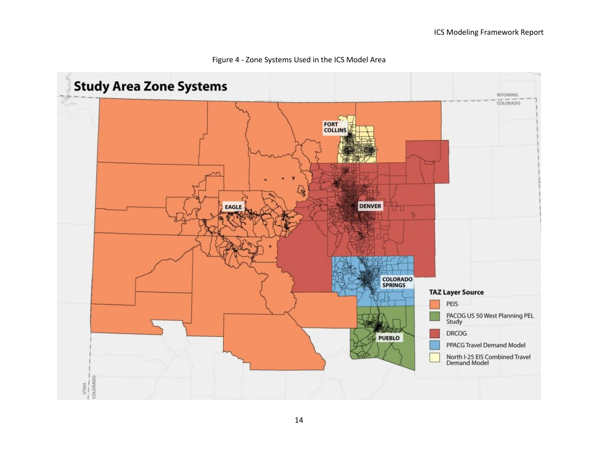<span id="page-16-0"></span>

#### Figure 4 - Zone Systems Used in the ICS Model Area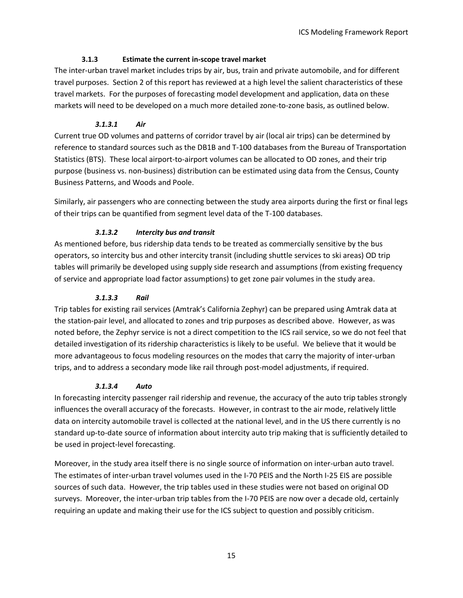## **3.1.3 Estimate the current in-scope travel market**

<span id="page-17-0"></span>The inter-urban travel market includes trips by air, bus, train and private automobile, and for different travel purposes. Section 2 of this report has reviewed at a high level the salient characteristics of these travel markets. For the purposes of forecasting model development and application, data on these markets will need to be developed on a much more detailed zone-to-zone basis, as outlined below.

# *3.1.3.1 Air*

<span id="page-17-1"></span>Current true OD volumes and patterns of corridor travel by air (local air trips) can be determined by reference to standard sources such as the DB1B and T-100 databases from the Bureau of Transportation Statistics (BTS). These local airport-to-airport volumes can be allocated to OD zones, and their trip purpose (business vs. non-business) distribution can be estimated using data from the Census, County Business Patterns, and Woods and Poole.

Similarly, air passengers who are connecting between the study area airports during the first or final legs of their trips can be quantified from segment level data of the T-100 databases.

# *3.1.3.2 Intercity bus and transit*

<span id="page-17-2"></span>As mentioned before, bus ridership data tends to be treated as commercially sensitive by the bus operators, so intercity bus and other intercity transit (including shuttle services to ski areas) OD trip tables will primarily be developed using supply side research and assumptions (from existing frequency of service and appropriate load factor assumptions) to get zone pair volumes in the study area.

## *3.1.3.3 Rail*

<span id="page-17-3"></span>Trip tables for existing rail services (Amtrak's California Zephyr) can be prepared using Amtrak data at the station-pair level, and allocated to zones and trip purposes as described above. However, as was noted before, the Zephyr service is not a direct competition to the ICS rail service, so we do not feel that detailed investigation of its ridership characteristics is likely to be useful. We believe that it would be more advantageous to focus modeling resources on the modes that carry the majority of inter-urban trips, and to address a secondary mode like rail through post-model adjustments, if required.

## *3.1.3.4 Auto*

<span id="page-17-4"></span>In forecasting intercity passenger rail ridership and revenue, the accuracy of the auto trip tables strongly influences the overall accuracy of the forecasts. However, in contrast to the air mode, relatively little data on intercity automobile travel is collected at the national level, and in the US there currently is no standard up-to-date source of information about intercity auto trip making that is sufficiently detailed to be used in project-level forecasting.

Moreover, in the study area itself there is no single source of information on inter-urban auto travel. The estimates of inter-urban travel volumes used in the I-70 PEIS and the North I-25 EIS are possible sources of such data. However, the trip tables used in these studies were not based on original OD surveys. Moreover, the inter-urban trip tables from the I-70 PEIS are now over a decade old, certainly requiring an update and making their use for the ICS subject to question and possibly criticism.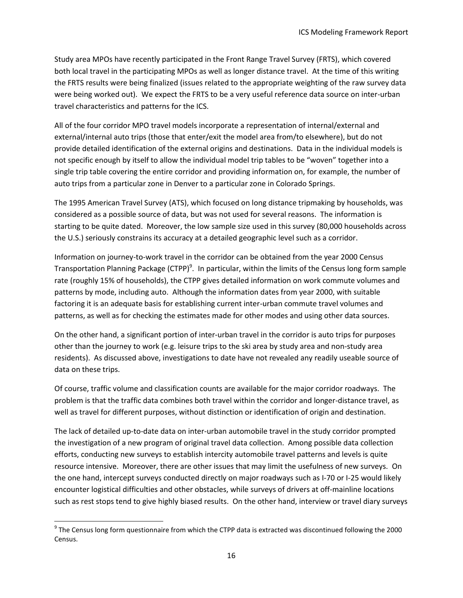Study area MPOs have recently participated in the Front Range Travel Survey (FRTS), which covered both local travel in the participating MPOs as well as longer distance travel. At the time of this writing the FRTS results were being finalized (issues related to the appropriate weighting of the raw survey data were being worked out). We expect the FRTS to be a very useful reference data source on inter-urban travel characteristics and patterns for the ICS.

All of the four corridor MPO travel models incorporate a representation of internal/external and external/internal auto trips (those that enter/exit the model area from/to elsewhere), but do not provide detailed identification of the external origins and destinations. Data in the individual models is not specific enough by itself to allow the individual model trip tables to be "woven" together into a single trip table covering the entire corridor and providing information on, for example, the number of auto trips from a particular zone in Denver to a particular zone in Colorado Springs.

The 1995 American Travel Survey (ATS), which focused on long distance tripmaking by households, was considered as a possible source of data, but was not used for several reasons. The information is starting to be quite dated. Moreover, the low sample size used in this survey (80,000 households across the U.S.) seriously constrains its accuracy at a detailed geographic level such as a corridor.

Information on journey-to-work travel in the corridor can be obtained from the year 2000 Census Transportation Planning Package (CTPP)<sup>9</sup>. In particular, within the limits of the Census long form sample rate (roughly 15% of households), the CTPP gives detailed information on work commute volumes and patterns by mode, including auto. Although the information dates from year 2000, with suitable factoring it is an adequate basis for establishing current inter-urban commute travel volumes and patterns, as well as for checking the estimates made for other modes and using other data sources.

On the other hand, a significant portion of inter-urban travel in the corridor is auto trips for purposes other than the journey to work (e.g. leisure trips to the ski area by study area and non-study area residents). As discussed above, investigations to date have not revealed any readily useable source of data on these trips.

Of course, traffic volume and classification counts are available for the major corridor roadways. The problem is that the traffic data combines both travel within the corridor and longer-distance travel, as well as travel for different purposes, without distinction or identification of origin and destination.

The lack of detailed up-to-date data on inter-urban automobile travel in the study corridor prompted the investigation of a new program of original travel data collection. Among possible data collection efforts, conducting new surveys to establish intercity automobile travel patterns and levels is quite resource intensive. Moreover, there are other issues that may limit the usefulness of new surveys. On the one hand, intercept surveys conducted directly on major roadways such as I-70 or I-25 would likely encounter logistical difficulties and other obstacles, while surveys of drivers at off-mainline locations such as rest stops tend to give highly biased results. On the other hand, interview or travel diary surveys

l

 $^9$  The Census long form questionnaire from which the CTPP data is extracted was discontinued following the 2000 Census.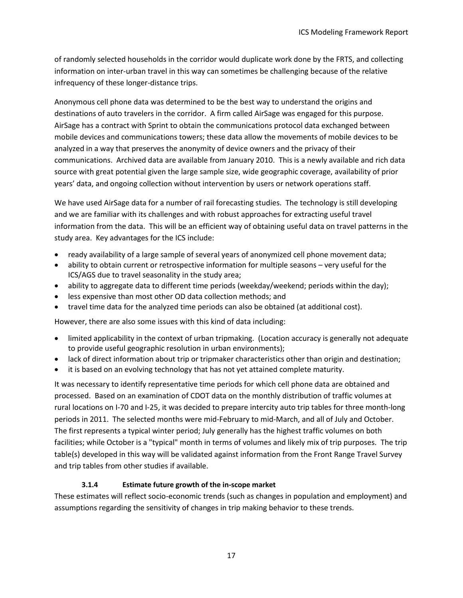of randomly selected households in the corridor would duplicate work done by the FRTS, and collecting information on inter-urban travel in this way can sometimes be challenging because of the relative infrequency of these longer-distance trips.

Anonymous cell phone data was determined to be the best way to understand the origins and destinations of auto travelers in the corridor. A firm called AirSage was engaged for this purpose. AirSage has a contract with Sprint to obtain the communications protocol data exchanged between mobile devices and communications towers; these data allow the movements of mobile devices to be analyzed in a way that preserves the anonymity of device owners and the privacy of their communications. Archived data are available from January 2010. This is a newly available and rich data source with great potential given the large sample size, wide geographic coverage, availability of prior years' data, and ongoing collection without intervention by users or network operations staff.

We have used AirSage data for a number of rail forecasting studies. The technology is still developing and we are familiar with its challenges and with robust approaches for extracting useful travel information from the data. This will be an efficient way of obtaining useful data on travel patterns in the study area. Key advantages for the ICS include:

- ready availability of a large sample of several years of anonymized cell phone movement data;
- ability to obtain current or retrospective information for multiple seasons very useful for the ICS/AGS due to travel seasonality in the study area;
- ability to aggregate data to different time periods (weekday/weekend; periods within the day);
- less expensive than most other OD data collection methods; and
- travel time data for the analyzed time periods can also be obtained (at additional cost).

However, there are also some issues with this kind of data including:

- limited applicability in the context of urban tripmaking. (Location accuracy is generally not adequate to provide useful geographic resolution in urban environments);
- lack of direct information about trip or tripmaker characteristics other than origin and destination;
- it is based on an evolving technology that has not yet attained complete maturity.

It was necessary to identify representative time periods for which cell phone data are obtained and processed. Based on an examination of CDOT data on the monthly distribution of traffic volumes at rural locations on I-70 and I-25, it was decided to prepare intercity auto trip tables for three month-long periods in 2011. The selected months were mid-February to mid-March, and all of July and October. The first represents a typical winter period; July generally has the highest traffic volumes on both facilities; while October is a "typical" month in terms of volumes and likely mix of trip purposes. The trip table(s) developed in this way will be validated against information from the Front Range Travel Survey and trip tables from other studies if available.

## **3.1.4 Estimate future growth of the in-scope market**

<span id="page-19-0"></span>These estimates will reflect socio-economic trends (such as changes in population and employment) and assumptions regarding the sensitivity of changes in trip making behavior to these trends.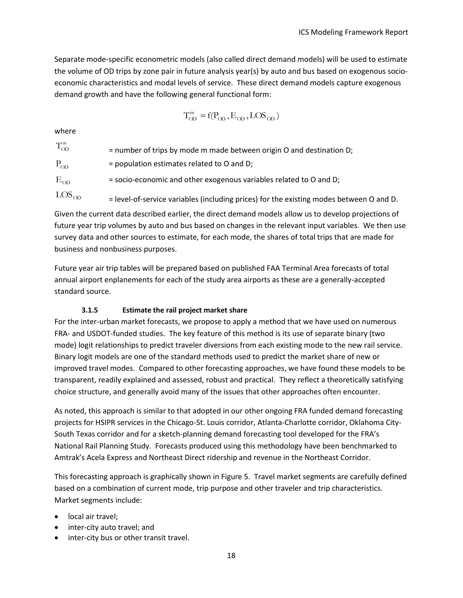Separate mode-specific econometric models (also called direct demand models) will be used to estimate the volume of OD trips by zone pair in future analysis year(s) by auto and bus based on exogenous socioeconomic characteristics and modal levels of service. These direct demand models capture exogenous demand growth and have the following general functional form:

$$
T^{\rm m}_{OD} = f(P_{OD}, E_{OD}, LOS_{OD})
$$

where

| $T_{OD}^{m}$ | $=$ number of trips by mode m made between origin O and destination D; |
|--------------|------------------------------------------------------------------------|
| $P_{OD}$     | $=$ population estimates related to O and D;                           |

 $E_{OD}$ = socio-economic and other exogenous variables related to O and D;

 $LOS<sub>OD</sub>$ 

= level-of-service variables (including prices) for the existing modes between O and D. Given the current data described earlier, the direct demand models allow us to develop projections of future year trip volumes by auto and bus based on changes in the relevant input variables. We then use survey data and other sources to estimate, for each mode, the shares of total trips that are made for business and nonbusiness purposes.

Future year air trip tables will be prepared based on published FAA Terminal Area forecasts of total annual airport enplanements for each of the study area airports as these are a generally-accepted standard source.

## **3.1.5 Estimate the rail project market share**

<span id="page-20-0"></span>For the inter-urban market forecasts, we propose to apply a method that we have used on numerous FRA- and USDOT-funded studies. The key feature of this method is its use of separate binary (two mode) logit relationships to predict traveler diversions from each existing mode to the new rail service. Binary logit models are one of the standard methods used to predict the market share of new or improved travel modes. Compared to other forecasting approaches, we have found these models to be transparent, readily explained and assessed, robust and practical. They reflect a theoretically satisfying choice structure, and generally avoid many of the issues that other approaches often encounter.

As noted, this approach is similar to that adopted in our other ongoing FRA funded demand forecasting projects for HSIPR services in the Chicago-St. Louis corridor, Atlanta-Charlotte corridor, Oklahoma City-South Texas corridor and for a sketch-planning demand forecasting tool developed for the FRA's National Rail Planning Study. Forecasts produced using this methodology have been benchmarked to Amtrak's Acela Express and Northeast Direct ridership and revenue in the Northeast Corridor.

This forecasting approach is graphically shown in [Figure 5.](#page-21-0) Travel market segments are carefully defined based on a combination of current mode, trip purpose and other traveler and trip characteristics. Market segments include:

- local air travel:
- inter-city auto travel; and
- inter-city bus or other transit travel.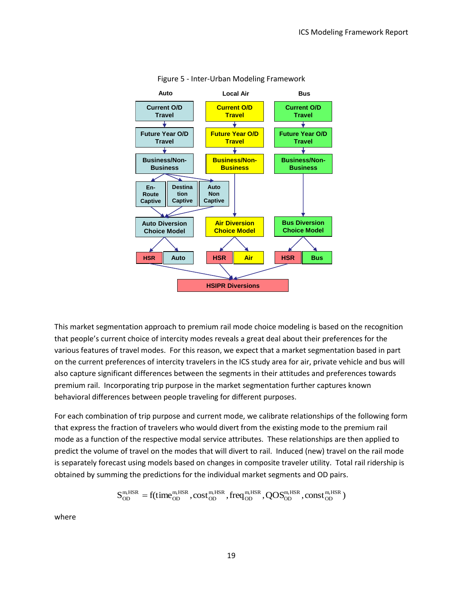<span id="page-21-0"></span>

#### Figure 5 - Inter-Urban Modeling Framework

This market segmentation approach to premium rail mode choice modeling is based on the recognition that people's current choice of intercity modes reveals a great deal about their preferences for the various features of travel modes. For this reason, we expect that a market segmentation based in part on the current preferences of intercity travelers in the ICS study area for air, private vehicle and bus will also capture significant differences between the segments in their attitudes and preferences towards premium rail. Incorporating trip purpose in the market segmentation further captures known behavioral differences between people traveling for different purposes.

For each combination of trip purpose and current mode, we calibrate relationships of the following form that express the fraction of travelers who would divert from the existing mode to the premium rail mode as a function of the respective modal service attributes. These relationships are then applied to predict the volume of travel on the modes that will divert to rail. Induced (new) travel on the rail mode is separately forecast using models based on changes in composite traveler utility. Total rail ridership is obtained by summing the predictions for the individual market segments and OD pairs.

$$
S^{\scriptscriptstyle{m, HSR}}_{\scriptscriptstyle{OD}}=f(time^{\scriptscriptstyle{m, HSR}}_{\scriptscriptstyle{OD}}, cost^{\scriptscriptstyle{m, HSR}}_{\scriptscriptstyle{OD}}, freq^{\scriptscriptstyle{m, HSR}}_{\scriptscriptstyle{OD}}, QOS^{\scriptscriptstyle{m, HSR}}_{\scriptscriptstyle{OD}}, const^{\scriptscriptstyle{m, HSR}}_{\scriptscriptstyle{OD}})
$$

where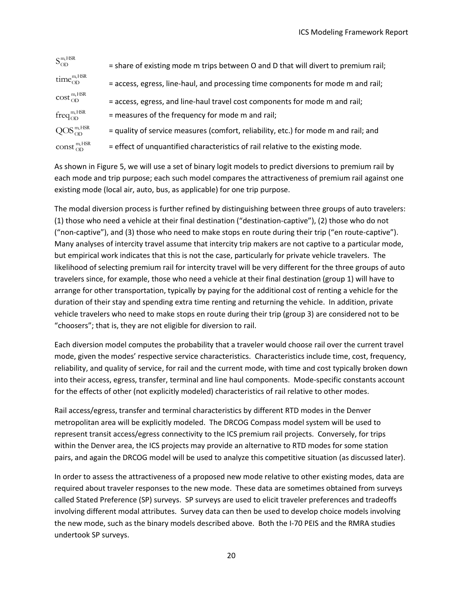| $S_{OD}^{m, HSR}$      | = share of existing mode m trips between O and D that will divert to premium rail;  |
|------------------------|-------------------------------------------------------------------------------------|
| $time_{OD}^{m, HSR}$   | = access, egress, line-haul, and processing time components for mode m and rail;    |
| $\cos t_{OD}^{m, HSR}$ | = access, egress, and line-haul travel cost components for mode m and rail;         |
| $freq_{OD}^{m, HSR}$   | = measures of the frequency for mode m and rail;                                    |
| $QOS_{OD}^{m, HSR}$    | = quality of service measures (comfort, reliability, etc.) for mode m and rail; and |
| const $^{m, HSR}_{OD}$ | = effect of unquantified characteristics of rail relative to the existing mode.     |

As shown in [Figure 5,](#page-21-0) we will use a set of binary logit models to predict diversions to premium rail by each mode and trip purpose; each such model compares the attractiveness of premium rail against one existing mode (local air, auto, bus, as applicable) for one trip purpose.

exact and the effects of orthotomyles and the proposed and reference (SP) surveys and  $\frac{2000}{1000}$  and  $\frac{2000}{1000}$  and  $\frac{2000}{1000}$  and  $\frac{2000}{1000}$  and  $\frac{2000}{1000}$  and  $\frac{2000}{1000}$  and  $\frac{2000}{1000}$  The modal diversion process is further refined by distinguishing between three groups of auto travelers: (1) those who need a vehicle at their final destination ("destination-captive"), (2) those who do not ("non-captive"), and (3) those who need to make stops en route during their trip ("en route-captive"). Many analyses of intercity travel assume that intercity trip makers are not captive to a particular mode, but empirical work indicates that this is not the case, particularly for private vehicle travelers. The likelihood of selecting premium rail for intercity travel will be very different for the three groups of auto travelers since, for example, those who need a vehicle at their final destination (group 1) will have to arrange for other transportation, typically by paying for the additional cost of renting a vehicle for the duration of their stay and spending extra time renting and returning the vehicle. In addition, private vehicle travelers who need to make stops en route during their trip (group 3) are considered not to be "choosers"; that is, they are not eligible for diversion to rail.

Each diversion model computes the probability that a traveler would choose rail over the current travel mode, given the modes' respective service characteristics. Characteristics include time, cost, frequency, reliability, and quality of service, for rail and the current mode, with time and cost typically broken down into their access, egress, transfer, terminal and line haul components. Mode-specific constants account for the effects of other (not explicitly modeled) characteristics of rail relative to other modes.

Rail access/egress, transfer and terminal characteristics by different RTD modes in the Denver metropolitan area will be explicitly modeled. The DRCOG Compass model system will be used to represent transit access/egress connectivity to the ICS premium rail projects. Conversely, for trips within the Denver area, the ICS projects may provide an alternative to RTD modes for some station pairs, and again the DRCOG model will be used to analyze this competitive situation (as discussed later).

In order to assess the attractiveness of a proposed new mode relative to other existing modes, data are required about traveler responses to the new mode. These data are sometimes obtained from surveys called Stated Preference (SP) surveys. SP surveys are used to elicit traveler preferences and tradeoffs involving different modal attributes. Survey data can then be used to develop choice models involving the new mode, such as the binary models described above. Both the I-70 PEIS and the RMRA studies undertook SP surveys.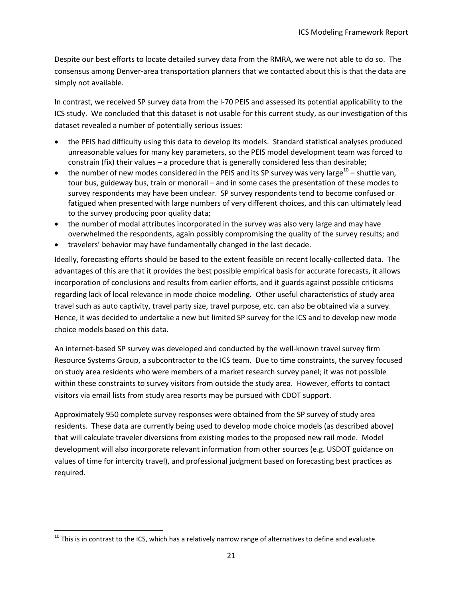Despite our best efforts to locate detailed survey data from the RMRA, we were not able to do so. The consensus among Denver-area transportation planners that we contacted about this is that the data are simply not available.

In contrast, we received SP survey data from the I-70 PEIS and assessed its potential applicability to the ICS study. We concluded that this dataset is not usable for this current study, as our investigation of this dataset revealed a number of potentially serious issues:

- the PEIS had difficulty using this data to develop its models. Standard statistical analyses produced unreasonable values for many key parameters, so the PEIS model development team was forced to constrain (fix) their values – a procedure that is generally considered less than desirable;
- the number of new modes considered in the PEIS and its SP survey was very large<sup>10</sup> shuttle van, tour bus, guideway bus, train or monorail – and in some cases the presentation of these modes to survey respondents may have been unclear. SP survey respondents tend to become confused or fatigued when presented with large numbers of very different choices, and this can ultimately lead to the survey producing poor quality data;
- the number of modal attributes incorporated in the survey was also very large and may have overwhelmed the respondents, again possibly compromising the quality of the survey results; and
- travelers' behavior may have fundamentally changed in the last decade.

Ideally, forecasting efforts should be based to the extent feasible on recent locally-collected data. The advantages of this are that it provides the best possible empirical basis for accurate forecasts, it allows incorporation of conclusions and results from earlier efforts, and it guards against possible criticisms regarding lack of local relevance in mode choice modeling. Other useful characteristics of study area travel such as auto captivity, travel party size, travel purpose, etc. can also be obtained via a survey. Hence, it was decided to undertake a new but limited SP survey for the ICS and to develop new mode choice models based on this data.

An internet-based SP survey was developed and conducted by the well-known travel survey firm Resource Systems Group, a subcontractor to the ICS team. Due to time constraints, the survey focused on study area residents who were members of a market research survey panel; it was not possible within these constraints to survey visitors from outside the study area. However, efforts to contact visitors via email lists from study area resorts may be pursued with CDOT support.

Approximately 950 complete survey responses were obtained from the SP survey of study area residents. These data are currently being used to develop mode choice models (as described above) that will calculate traveler diversions from existing modes to the proposed new rail mode. Model development will also incorporate relevant information from other sources (e.g. USDOT guidance on values of time for intercity travel), and professional judgment based on forecasting best practices as required.

 $\overline{\phantom{a}}$ 

 $10$  This is in contrast to the ICS, which has a relatively narrow range of alternatives to define and evaluate.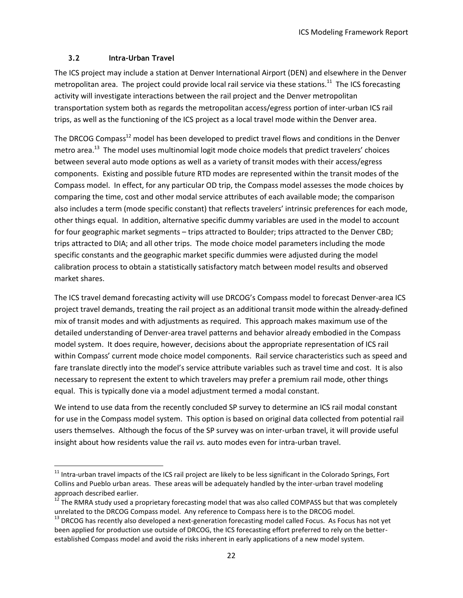## **3.2 Intra-Urban Travel**

 $\overline{\phantom{a}}$ 

<span id="page-24-0"></span>The ICS project may include a station at Denver International Airport (DEN) and elsewhere in the Denver metropolitan area. The project could provide local rail service via these stations.<sup>11</sup> The ICS forecasting activity will investigate interactions between the rail project and the Denver metropolitan transportation system both as regards the metropolitan access/egress portion of inter-urban ICS rail trips, as well as the functioning of the ICS project as a local travel mode within the Denver area.

The DRCOG Compass<sup>12</sup> model has been developed to predict travel flows and conditions in the Denver metro area.<sup>13</sup> The model uses multinomial logit mode choice models that predict travelers' choices between several auto mode options as well as a variety of transit modes with their access/egress components. Existing and possible future RTD modes are represented within the transit modes of the Compass model. In effect, for any particular OD trip, the Compass model assesses the mode choices by comparing the time, cost and other modal service attributes of each available mode; the comparison also includes a term (mode specific constant) that reflects travelers' intrinsic preferences for each mode, other things equal. In addition, alternative specific dummy variables are used in the model to account for four geographic market segments – trips attracted to Boulder; trips attracted to the Denver CBD; trips attracted to DIA; and all other trips. The mode choice model parameters including the mode specific constants and the geographic market specific dummies were adjusted during the model calibration process to obtain a statistically satisfactory match between model results and observed market shares.

The ICS travel demand forecasting activity will use DRCOG's Compass model to forecast Denver-area ICS project travel demands, treating the rail project as an additional transit mode within the already-defined mix of transit modes and with adjustments as required. This approach makes maximum use of the detailed understanding of Denver-area travel patterns and behavior already embodied in the Compass model system. It does require, however, decisions about the appropriate representation of ICS rail within Compass' current mode choice model components. Rail service characteristics such as speed and fare translate directly into the model's service attribute variables such as travel time and cost. It is also necessary to represent the extent to which travelers may prefer a premium rail mode, other things equal. This is typically done via a model adjustment termed a modal constant.

We intend to use data from the recently concluded SP survey to determine an ICS rail modal constant for use in the Compass model system. This option is based on original data collected from potential rail users themselves. Although the focus of the SP survey was on inter-urban travel, it will provide useful insight about how residents value the rail *vs.* auto modes even for intra-urban travel.

 $11$  Intra-urban travel impacts of the ICS rail project are likely to be less significant in the Colorado Springs, Fort Collins and Pueblo urban areas. These areas will be adequately handled by the inter-urban travel modeling approach described earlier.

 $12$  The RMRA study used a proprietary forecasting model that was also called COMPASS but that was completely unrelated to the DRCOG Compass model. Any reference to Compass here is to the DRCOG model.

 $13$  DRCOG has recently also developed a next-generation forecasting model called Focus. As Focus has not yet been applied for production use outside of DRCOG, the ICS forecasting effort preferred to rely on the betterestablished Compass model and avoid the risks inherent in early applications of a new model system.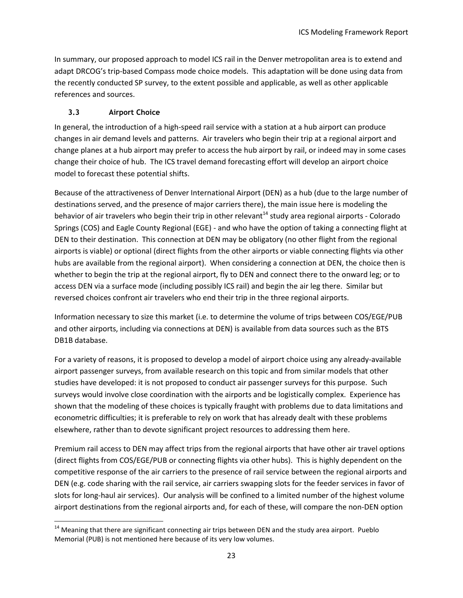In summary, our proposed approach to model ICS rail in the Denver metropolitan area is to extend and adapt DRCOG's trip-based Compass mode choice models. This adaptation will be done using data from the recently conducted SP survey, to the extent possible and applicable, as well as other applicable references and sources.

## **3.3 Airport Choice**

<span id="page-25-0"></span>In general, the introduction of a high-speed rail service with a station at a hub airport can produce changes in air demand levels and patterns. Air travelers who begin their trip at a regional airport and change planes at a hub airport may prefer to access the hub airport by rail, or indeed may in some cases change their choice of hub. The ICS travel demand forecasting effort will develop an airport choice model to forecast these potential shifts.

Because of the attractiveness of Denver International Airport (DEN) as a hub (due to the large number of destinations served, and the presence of major carriers there), the main issue here is modeling the behavior of air travelers who begin their trip in other relevant<sup>14</sup> study area regional airports - Colorado Springs (COS) and Eagle County Regional (EGE) - and who have the option of taking a connecting flight at DEN to their destination. This connection at DEN may be obligatory (no other flight from the regional airports is viable) or optional (direct flights from the other airports or viable connecting flights via other hubs are available from the regional airport). When considering a connection at DEN, the choice then is whether to begin the trip at the regional airport, fly to DEN and connect there to the onward leg; or to access DEN via a surface mode (including possibly ICS rail) and begin the air leg there. Similar but reversed choices confront air travelers who end their trip in the three regional airports.

Information necessary to size this market (i.e. to determine the volume of trips between COS/EGE/PUB and other airports, including via connections at DEN) is available from data sources such as the BTS DB1B database.

For a variety of reasons, it is proposed to develop a model of airport choice using any already-available airport passenger surveys, from available research on this topic and from similar models that other studies have developed: it is not proposed to conduct air passenger surveys for this purpose. Such surveys would involve close coordination with the airports and be logistically complex. Experience has shown that the modeling of these choices is typically fraught with problems due to data limitations and econometric difficulties; it is preferable to rely on work that has already dealt with these problems elsewhere, rather than to devote significant project resources to addressing them here.

Premium rail access to DEN may affect trips from the regional airports that have other air travel options (direct flights from COS/EGE/PUB or connecting flights via other hubs). This is highly dependent on the competitive response of the air carriers to the presence of rail service between the regional airports and DEN (e.g. code sharing with the rail service, air carriers swapping slots for the feeder services in favor of slots for long-haul air services). Our analysis will be confined to a limited number of the highest volume airport destinations from the regional airports and, for each of these, will compare the non-DEN option

l  $14$  Meaning that there are significant connecting air trips between DEN and the study area airport. Pueblo Memorial (PUB) is not mentioned here because of its very low volumes.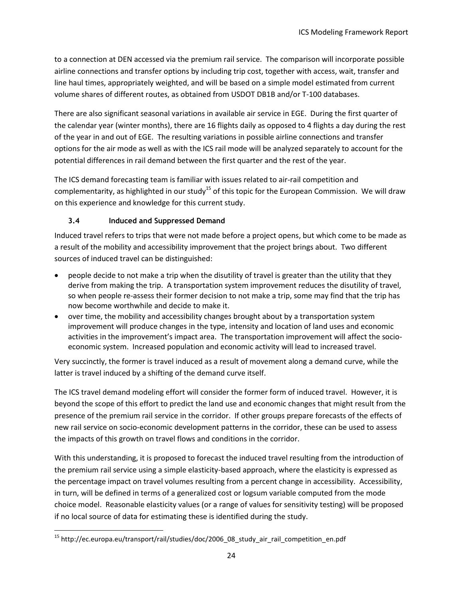to a connection at DEN accessed via the premium rail service. The comparison will incorporate possible airline connections and transfer options by including trip cost, together with access, wait, transfer and line haul times, appropriately weighted, and will be based on a simple model estimated from current volume shares of different routes, as obtained from USDOT DB1B and/or T-100 databases.

There are also significant seasonal variations in available air service in EGE. During the first quarter of the calendar year (winter months), there are 16 flights daily as opposed to 4 flights a day during the rest of the year in and out of EGE. The resulting variations in possible airline connections and transfer options for the air mode as well as with the ICS rail mode will be analyzed separately to account for the potential differences in rail demand between the first quarter and the rest of the year.

The ICS demand forecasting team is familiar with issues related to air-rail competition and complementarity, as highlighted in our study<sup>15</sup> of this topic for the European Commission. We will draw on this experience and knowledge for this current study.

## **3.4 Induced and Suppressed Demand**

<span id="page-26-0"></span>Induced travel refers to trips that were not made before a project opens, but which come to be made as a result of the mobility and accessibility improvement that the project brings about. Two different sources of induced travel can be distinguished:

- people decide to not make a trip when the disutility of travel is greater than the utility that they derive from making the trip. A transportation system improvement reduces the disutility of travel, so when people re-assess their former decision to not make a trip, some may find that the trip has now become worthwhile and decide to make it.
- over time, the mobility and accessibility changes brought about by a transportation system improvement will produce changes in the type, intensity and location of land uses and economic activities in the improvement's impact area. The transportation improvement will affect the socioeconomic system. Increased population and economic activity will lead to increased travel.

Very succinctly, the former is travel induced as a result of movement along a demand curve, while the latter is travel induced by a shifting of the demand curve itself.

The ICS travel demand modeling effort will consider the former form of induced travel. However, it is beyond the scope of this effort to predict the land use and economic changes that might result from the presence of the premium rail service in the corridor. If other groups prepare forecasts of the effects of new rail service on socio-economic development patterns in the corridor, these can be used to assess the impacts of this growth on travel flows and conditions in the corridor.

With this understanding, it is proposed to forecast the induced travel resulting from the introduction of the premium rail service using a simple elasticity-based approach, where the elasticity is expressed as the percentage impact on travel volumes resulting from a percent change in accessibility. Accessibility, in turn, will be defined in terms of a generalized cost or logsum variable computed from the mode choice model. Reasonable elasticity values (or a range of values for sensitivity testing) will be proposed if no local source of data for estimating these is identified during the study.

 $\overline{\phantom{a}}$ <sup>15</sup> http://ec.europa.eu/transport/rail/studies/doc/2006\_08\_study\_air\_rail\_competition\_en.pdf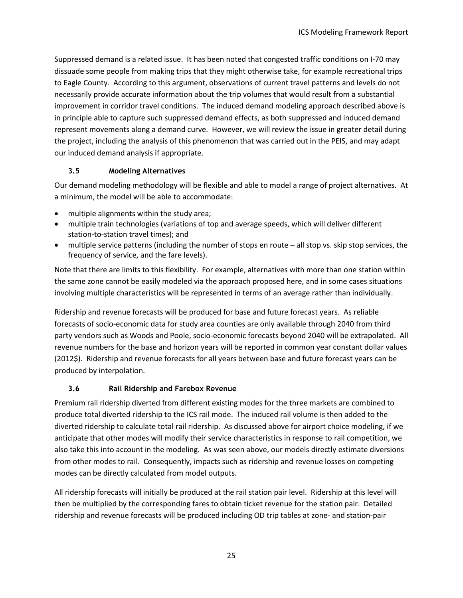Suppressed demand is a related issue. It has been noted that congested traffic conditions on I-70 may dissuade some people from making trips that they might otherwise take, for example recreational trips to Eagle County. According to this argument, observations of current travel patterns and levels do not necessarily provide accurate information about the trip volumes that would result from a substantial improvement in corridor travel conditions. The induced demand modeling approach described above is in principle able to capture such suppressed demand effects, as both suppressed and induced demand represent movements along a demand curve. However, we will review the issue in greater detail during the project, including the analysis of this phenomenon that was carried out in the PEIS, and may adapt our induced demand analysis if appropriate.

## **3.5 Modeling Alternatives**

<span id="page-27-0"></span>Our demand modeling methodology will be flexible and able to model a range of project alternatives. At a minimum, the model will be able to accommodate:

- multiple alignments within the study area;
- multiple train technologies (variations of top and average speeds, which will deliver different station-to-station travel times); and
- multiple service patterns (including the number of stops en route all stop vs. skip stop services, the frequency of service, and the fare levels).

Note that there are limits to this flexibility. For example, alternatives with more than one station within the same zone cannot be easily modeled via the approach proposed here, and in some cases situations involving multiple characteristics will be represented in terms of an average rather than individually.

Ridership and revenue forecasts will be produced for base and future forecast years. As reliable forecasts of socio-economic data for study area counties are only available through 2040 from third party vendors such as Woods and Poole, socio-economic forecasts beyond 2040 will be extrapolated. All revenue numbers for the base and horizon years will be reported in common year constant dollar values (2012\$). Ridership and revenue forecasts for all years between base and future forecast years can be produced by interpolation.

# **3.6 Rail Ridership and Farebox Revenue**

<span id="page-27-1"></span>Premium rail ridership diverted from different existing modes for the three markets are combined to produce total diverted ridership to the ICS rail mode. The induced rail volume is then added to the diverted ridership to calculate total rail ridership. As discussed above for airport choice modeling, if we anticipate that other modes will modify their service characteristics in response to rail competition, we also take this into account in the modeling. As was seen above, our models directly estimate diversions from other modes to rail. Consequently, impacts such as ridership and revenue losses on competing modes can be directly calculated from model outputs.

All ridership forecasts will initially be produced at the rail station pair level. Ridership at this level will then be multiplied by the corresponding fares to obtain ticket revenue for the station pair. Detailed ridership and revenue forecasts will be produced including OD trip tables at zone- and station-pair